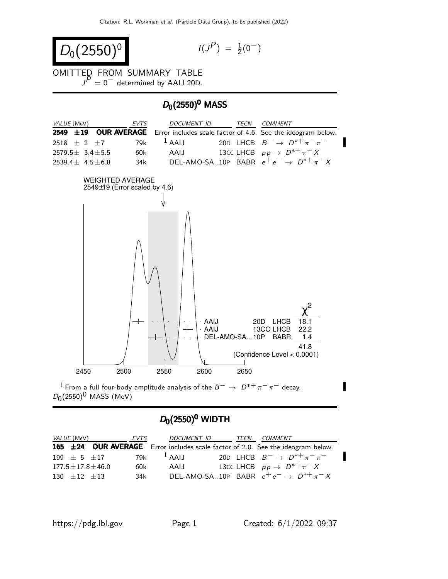$$
D_0(2550)^0
$$

$$
I(J^P) \; = \; \tfrac{1}{2}(0^-)
$$

OMITTED FROM SUMMARY TABLE  $J<sup>P</sup> = 0$  determined by AAIJ 20D.

#### $D_0(2550)^0$  MASS



## $D_0(2550)^0$  WIDTH

| <i>VALUE</i> (MeV) |                           | EVTS | <i>DOCUMENT ID</i> | TECN | COMMENT                                                                         |
|--------------------|---------------------------|------|--------------------|------|---------------------------------------------------------------------------------|
|                    |                           |      |                    |      | 165 ±24 OUR AVERAGE Error includes scale factor of 2.0. See the ideogram below. |
|                    | 199 $\pm$ 5 $\pm$ 17      | 79k  | $1$ AALI           |      | 20D LHCB $B^- \rightarrow D^{*+} \pi^- \pi^-$                                   |
|                    | $177.5 \pm 17.8 \pm 46.0$ | 60k  | AAIJ               |      | 13CC LHCB $pp \rightarrow D^{*+}\pi^- X$                                        |
|                    | $130 + 12 + 13$           | 34k  |                    |      | DEL-AMO-SA10P BABR $e^+e^- \rightarrow D^{*+}\pi^-X$                            |